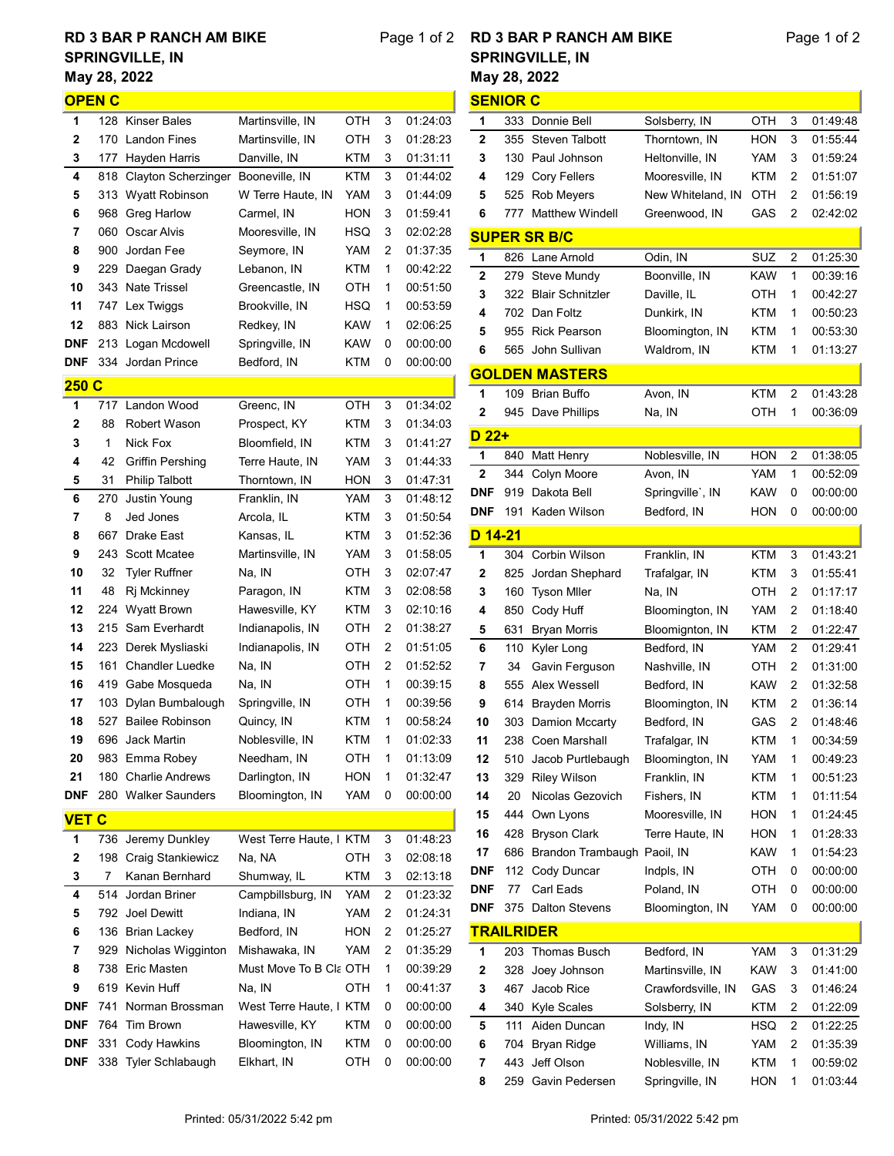## May 28, 2022 RD 3 BAR P RANCH AM BIKE SPRINGVILLE, IN

| <b>OPEN C</b>     |            |                                  |                                |            |        |                      |
|-------------------|------------|----------------------------------|--------------------------------|------------|--------|----------------------|
| 1                 |            | 128 Kinser Bales                 | Martinsville, IN               | отн        | 3      | 01:24:03             |
| 2                 | 170        | <b>Landon Fines</b>              | Martinsville, IN               | отн        | 3      | 01:28:23             |
| 3                 | 177        | Hayden Harris                    | Danville, IN                   | KTM        | 3      | 01:31:11             |
| 4                 | 818        | Clayton Scherzinger              | Booneville, IN                 | KTM        | 3      | 01:44:02             |
| 5                 | 313        | Wyatt Robinson                   | W Terre Haute, IN              | YAM        | 3      | 01:44:09             |
| 6                 | 968        | Greg Harlow                      | Carmel, IN                     | HON        | 3      | 01:59:41             |
| 7                 | 060        | Oscar Alvis                      | Mooresville, IN                | HSQ        | 3      | 02:02:28             |
| 8                 | 900        | Jordan Fee                       | Seymore, IN                    | YAM        | 2      | 01:37:35             |
| 9                 |            | 229 Daegan Grady                 | Lebanon, IN                    | KTM        | 1      | 00:42:22             |
| 10                | 343        | <b>Nate Trissel</b>              | Greencastle, IN                | отн        | 1      | 00:51:50             |
| 11                | 747        | Lex Twiggs                       | Brookville, IN                 | HSQ        | 1      | 00:53:59             |
| 12                | 883        | Nick Lairson                     | Redkey, IN                     | KAW        | 1      | 02:06:25             |
| <b>DNF</b>        | 213        | Logan Mcdowell                   | Springville, IN                | KAW        | 0      | 00:00:00             |
| <b>DNF</b>        | 334        | Jordan Prince                    | Bedford, IN                    | KTM        | 0      | 00:00:00             |
| 250 C             |            |                                  |                                |            |        |                      |
| 1                 | 717        | Landon Wood                      | Greenc, IN                     | OTH        | 3      | 01:34:02             |
| 2                 | 88         | Robert Wason                     | Prospect, KY                   | KTM        | 3      | 01:34:03             |
| 3                 | 1          | Nick Fox                         | Bloomfield, IN                 | KTM        | 3      | 01:41:27             |
| 4                 | 42         | <b>Griffin Pershing</b>          | Terre Haute, IN                | YAM        | 3      | 01:44:33             |
| 5                 | 31         | <b>Philip Talbott</b>            | Thorntown, IN                  | HON        | 3      | 01:47:31             |
| 6                 | 270        | Justin Young                     | Franklin, IN                   | YAM        | 3      | 01:48:12             |
| 7                 | 8          | Jed Jones                        | Arcola, IL                     | KTM        | 3      | 01:50:54             |
| 8                 | 667        | Drake East                       | Kansas, IL                     | KTM        | 3      | 01:52:36             |
| 9                 | 243        | <b>Scott Mcatee</b>              | Martinsville, IN               | YAM        | 3      | 01:58:05             |
| 10                | 32         | <b>Tyler Ruffner</b>             | Na, IN                         | отн        | 3      | 02:07:47             |
| 11                | 48         | Rj Mckinney                      | Paragon, IN                    | KTM        | 3      | 02:08:58             |
| 12                | 224        | <b>Wyatt Brown</b>               | Hawesville, KY                 | KTM        | 3      | 02:10:16             |
| 13                | 215        | Sam Everhardt                    | Indianapolis, IN               | отн        | 2      | 01:38:27             |
| 14                | 223        | Derek Mysliaski                  | Indianapolis, IN               | отн        | 2      | 01:51:05             |
| 15                | 161        | <b>Chandler Luedke</b>           | Na, IN                         | ОТН        | 2      | 01:52:52             |
| 16                |            | 419 Gabe Mosqueda                | Na, IN                         | ОТН        | 1      | 00:39:15             |
| 17                | 103        | Dylan Bumbalough                 | Springville, IN                | ОТН        | 1      | 00:39:56             |
| 18                | 527        | <b>Bailee Robinson</b>           | Quincy, IN                     | KTM        | 1      | 00:58:24             |
| 19                |            | 696  Jack Martin                 | Noblesville, IN                | KTM        | 1      | 01:02:33             |
| 20                |            | 983 Emma Robey                   | Needham, IN                    | OTH        | 1      | 01:13:09             |
| 21                | 180        | <b>Charlie Andrews</b>           | Darlington, IN                 | <b>HON</b> | 1      | 01:32:47             |
| DNF               |            | 280 Walker Saunders              | Bloomington, IN                | YAM        | 0      | 00:00:00             |
| <b>VET C</b>      |            |                                  |                                |            |        |                      |
| 1                 | 736        | Jeremy Dunkley                   | West Terre Haute, I KTM        |            | 3      | 01:48:23             |
| 2                 | 198        | Craig Stankiewicz                | Na, NA                         | отн        | 3      | 02:08:18             |
| 3                 | 7          | Kanan Bernhard                   | Shumway, IL                    | KTM        | 3      | 02:13:18             |
| 4                 | 514        | Jordan Briner                    | Campbillsburg, IN              | YAM        | 2      | 01:23:32             |
| 5                 | 792        | <b>Joel Dewitt</b>               | Indiana, IN                    | YAM        | 2      | 01:24:31             |
| 6                 | 136        | <b>Brian Lackey</b>              | Bedford, IN                    | HON        | 2      | 01:25:27             |
| 7                 | 929        | Nicholas Wigginton               | Mishawaka, IN                  | YAM        | 2      | 01:35:29             |
| 8                 | 738        | Eric Masten                      | Must Move To B Cla OTH         |            | 1      | 00:39:29             |
| 9                 |            | 619 Kevin Huff                   | Na, IN                         | ОТН        | 1      | 00:41:37             |
| DNF               | 741        | Norman Brossman                  | West Terre Haute, I KTM        |            | 0      | 00:00:00             |
| DNF<br><b>DNF</b> | 764        | Tim Brown                        | Hawesville, KY                 | KTM        | 0<br>0 | 00:00:00             |
| <b>DNF</b>        | 331<br>338 | Cody Hawkins<br>Tyler Schlabaugh | Bloomington, IN<br>Elkhart, IN | KTM<br>отн | 0      | 00:00:00<br>00:00:00 |
|                   |            |                                  |                                |            |        |                      |

## Page 1 of 2 RD 3 BAR P RANCH AM BIKE May 28, 2022 SPRINGVILLE, IN

| <b>SENIOR C</b>   |     |                             |                    |            |   |          |  |  |
|-------------------|-----|-----------------------------|--------------------|------------|---|----------|--|--|
| 1                 | 333 | Donnie Bell                 | Solsberry, IN      | OTH        | 3 | 01:49:48 |  |  |
| 2                 | 355 | <b>Steven Talbott</b>       | Thorntown, IN      | HON        | 3 | 01:55:44 |  |  |
| 3                 | 130 | Paul Johnson                | Heltonville, IN    | YAM        | 3 | 01:59:24 |  |  |
| 4                 | 129 | Cory Fellers                | Mooresville, IN    | KTM        | 2 | 01:51:07 |  |  |
| 5                 | 525 | <b>Rob Meyers</b>           | New Whiteland, IN  | OTH        | 2 | 01:56:19 |  |  |
| 6                 |     | <b>Matthew Windell</b>      |                    |            | 2 |          |  |  |
|                   | 777 |                             | Greenwood, IN      | GAS        |   | 02:42:02 |  |  |
|                   |     | <b>SUPER SR B/C</b>         |                    |            |   |          |  |  |
| 1                 | 826 | Lane Arnold                 | Odin, IN           | SUZ        | 2 | 01:25:30 |  |  |
| 2                 | 279 | Steve Mundy                 | Boonville, IN      | KAW        | 1 | 00:39:16 |  |  |
| 3                 |     | 322 Blair Schnitzler        | Daville, IL        | OTH        | 1 | 00:42:27 |  |  |
| 4                 |     | 702 Dan Foltz               | Dunkirk, IN        | KTM        | 1 | 00:50:23 |  |  |
| 5                 | 955 | <b>Rick Pearson</b>         | Bloomington, IN    | KTM        | 1 | 00:53:30 |  |  |
| 6                 |     | 565 John Sullivan           | Waldrom, IN        | KTM        | 1 | 01:13:27 |  |  |
|                   |     | <b>GOLDEN MASTERS</b>       |                    |            |   |          |  |  |
| 1                 | 109 | Brian Buffo                 | Avon, IN           | KTM        | 2 | 01:43:28 |  |  |
| 2                 | 945 | Dave Phillips               | Na, IN             | OTH        | 1 | 00:36:09 |  |  |
| $D$ 22+           |     |                             |                    |            |   |          |  |  |
| 1                 | 840 | Matt Henry                  | Noblesville, IN    | <b>HON</b> | 2 | 01:38:05 |  |  |
| 2                 | 344 | Colyn Moore                 | Avon, IN           | YAM        | 1 | 00:52:09 |  |  |
| DNF               | 919 | Dakota Bell                 | Springville', IN   | KAW        | 0 | 00:00:00 |  |  |
| <b>DNF</b>        | 191 | Kaden Wilson                | Bedford, IN        | HON        | 0 | 00:00:00 |  |  |
| D 14-21           |     |                             |                    |            |   |          |  |  |
| 1                 | 304 | Corbin Wilson               | Franklin, IN       | KTM        | 3 | 01:43:21 |  |  |
| 2                 | 825 | Jordan Shephard             | Trafalgar, IN      | KTM        | 3 | 01:55:41 |  |  |
| 3                 | 160 | <b>Tyson Miler</b>          | Na, IN             | OTH        | 2 | 01:17:17 |  |  |
| 4                 | 850 | Cody Huff                   | Bloomington, IN    | YAM        | 2 | 01:18:40 |  |  |
| 5                 | 631 | <b>Bryan Morris</b>         | Bloomignton, IN    | KTM        | 2 | 01:22:47 |  |  |
| 6                 | 110 | Kyler Long                  | Bedford, IN        | YAM        | 2 | 01:29:41 |  |  |
| 7                 | 34  | Gavin Ferguson              | Nashville, IN      | OTH        | 2 | 01:31:00 |  |  |
| 8                 | 555 | Alex Wessell                | Bedford, IN        | KAW        | 2 | 01:32:58 |  |  |
| 9                 | 614 | <b>Brayden Morris</b>       | Bloomington, IN    | KTM        | 2 | 01:36:14 |  |  |
| 10                |     | 303 Damion Mccarty          | Bedford, IN        | GAS        | 2 | 01:48:46 |  |  |
| 11                |     | 238 Coen Marshall           | Trafalgar, IN      | <b>KTM</b> | 1 | 00:34:59 |  |  |
| 12                | 510 | Jacob Purtlebaugh           | Bloomington, IN    | YAM        | 1 | 00:49:23 |  |  |
| 13                | 329 | <b>Riley Wilson</b>         | Franklin, IN       | KTM        | 1 | 00:51:23 |  |  |
| 14                | 20  | Nicolas Gezovich            | Fishers, IN        | KTM        | 1 | 01:11:54 |  |  |
| 15                | 444 | Own Lyons                   | Mooresville, IN    | HON        | 1 | 01:24:45 |  |  |
| 16                | 428 | <b>Bryson Clark</b>         | Terre Haute, IN    | <b>HON</b> | 1 | 01:28:33 |  |  |
| 17                | 686 | Brandon Trambaugh Paoil, IN |                    | KAW        | 1 | 01:54:23 |  |  |
| DNF               | 112 | Cody Duncar                 | Indpls, IN         | OTH        | 0 | 00:00:00 |  |  |
| DNF               | 77  | Carl Eads                   | Poland, IN         | OTH        | 0 | 00:00:00 |  |  |
| DNF               | 375 | <b>Dalton Stevens</b>       | Bloomington, IN    | YAM        | 0 | 00:00:00 |  |  |
| <b>TRAILRIDER</b> |     |                             |                    |            |   |          |  |  |
| 1                 | 203 | Thomas Busch                | Bedford, IN        | YAM        | 3 | 01:31:29 |  |  |
| 2                 | 328 | Joey Johnson                | Martinsville, IN   | <b>KAW</b> | 3 | 01:41:00 |  |  |
| 3                 | 467 | Jacob Rice                  | Crawfordsville, IN | GAS        | 3 | 01:46:24 |  |  |
| 4                 | 340 | Kyle Scales                 | Solsberry, IN      | KTM        | 2 | 01:22:09 |  |  |
| 5                 | 111 | Aiden Duncan                | Indy, IN           | HSQ        | 2 | 01:22:25 |  |  |
| 6                 | 704 | Bryan Ridge                 | Williams, IN       | YAM        | 2 | 01:35:39 |  |  |
| 7                 | 443 | Jeff Olson                  | Noblesville, IN    | KTM        | 1 | 00:59:02 |  |  |
| 8                 | 259 | Gavin Pedersen              | Springville, IN    | HON        | 1 | 01 03:44 |  |  |